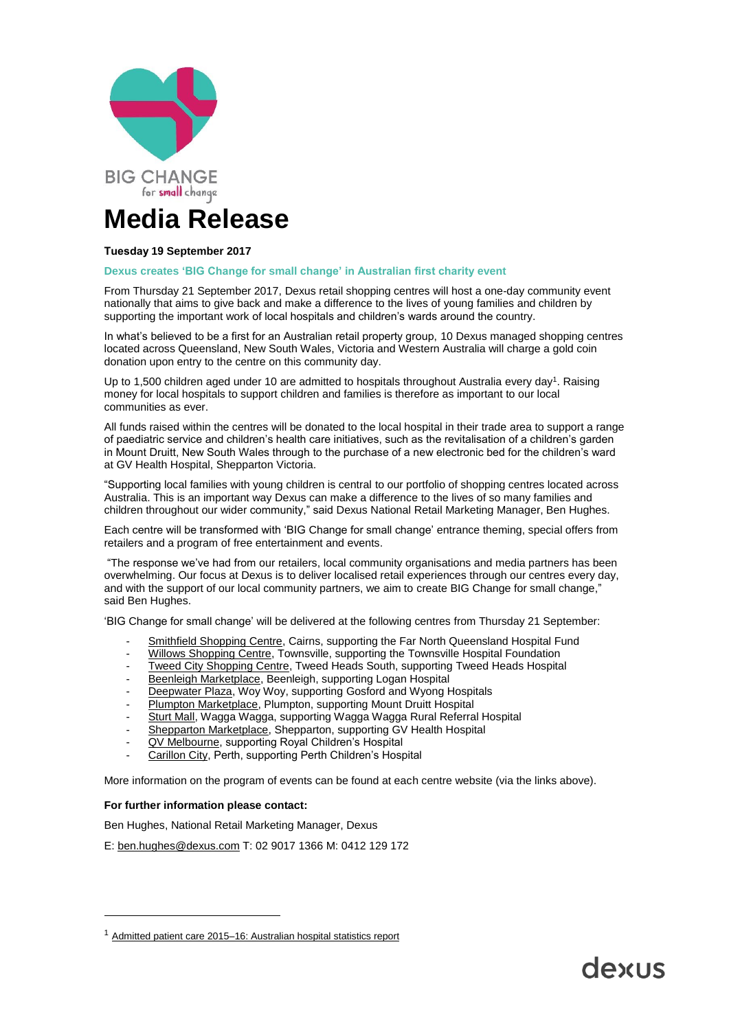

# **Media Release**

## **Tuesday 19 September 2017**

#### **Dexus creates 'BIG Change for small change' in Australian first charity event**

From Thursday 21 September 2017, Dexus retail shopping centres will host a one-day community event nationally that aims to give back and make a difference to the lives of young families and children by supporting the important work of local hospitals and children's wards around the country.

In what's believed to be a first for an Australian retail property group, 10 Dexus managed shopping centres located across Queensland, New South Wales, Victoria and Western Australia will charge a gold coin donation upon entry to the centre on this community day.

Up to 1,500 children aged under 10 are admitted to hospitals throughout Australia every day<sup>1</sup>. Raising money for local hospitals to support children and families is therefore as important to our local communities as ever.

All funds raised within the centres will be donated to the local hospital in their trade area to support a range of paediatric service and children's health care initiatives, such as the revitalisation of a children's garden in Mount Druitt, New South Wales through to the purchase of a new electronic bed for the children's ward at GV Health Hospital, Shepparton Victoria.

"Supporting local families with young children is central to our portfolio of shopping centres located across Australia. This is an important way Dexus can make a difference to the lives of so many families and children throughout our wider community," said Dexus National Retail Marketing Manager, Ben Hughes.

Each centre will be transformed with 'BIG Change for small change' entrance theming, special offers from retailers and a program of free entertainment and events.

"The response we've had from our retailers, local community organisations and media partners has been overwhelming. Our focus at Dexus is to deliver localised retail experiences through our centres every day, and with the support of our local community partners, we aim to create BIG Change for small change," said Ben Hughes.

'BIG Change for small change' will be delivered at the following centres from Thursday 21 September:

- [Smithfield Shopping Centre,](http://www.smithfieldcentre.com.au/bigchangeforsmallchange) Cairns, supporting the Far North Queensland Hospital Fund
- [Willows Shopping Centre,](http://www.willowsshoppingcentre.com.au/bigchangeforsmallchange) Townsville, supporting the Townsville Hospital Foundation
- [Tweed City Shopping Centre,](http://www.tweedcity.com.au/bigchangeforsmallchange) Tweed Heads South, supporting Tweed Heads Hospital
- [Beenleigh Marketplace,](http://www.beenleighmarketplace.com.au/big-change-for-small-change) Beenleigh, supporting Logan Hospital
- [Deepwater Plaza,](http://www.deepwaterplaza.com.au/bigchangeforsmallchange) Woy Woy, supporting Gosford and Wyong Hospitals
- [Plumpton Marketplace,](http://www.plumptonmarketplace.com.au/bigchangeforsmallchange) Plumpton, supporting Mount Druitt Hospital
- [Sturt Mall,](http://www.sturtmall.com.au/big-change-for-small-change) Wagga Wagga, supporting Wagga Wagga Rural Referral Hospital
- [Shepparton Marketplace,](http://www.sheppartonmarketplace.com.au/bigchangeforsmallchange) Shepparton, supporting GV Health Hospital
- [QV Melbourne,](http://www.qv.com.au/) supporting Royal Children's Hospital
- [Carillon City,](http://carilloncity.com.au/) Perth, supporting Perth Children's Hospital

More information on the program of events can be found at each centre website (via the links above).

#### **For further information please contact:**

Ben Hughes, National Retail Marketing Manager, Dexus

E: [ben.hughes@dexus.com](mailto:ben.hughes@dexus.com) T: 02 9017 1366 M: 0412 129 172

<sup>&</sup>lt;sup>1</sup> [Admitted patient care 2015–16: Australian hospital statistics report](http://www.aihw.gov.au/publication-detail/?id=60129559537)